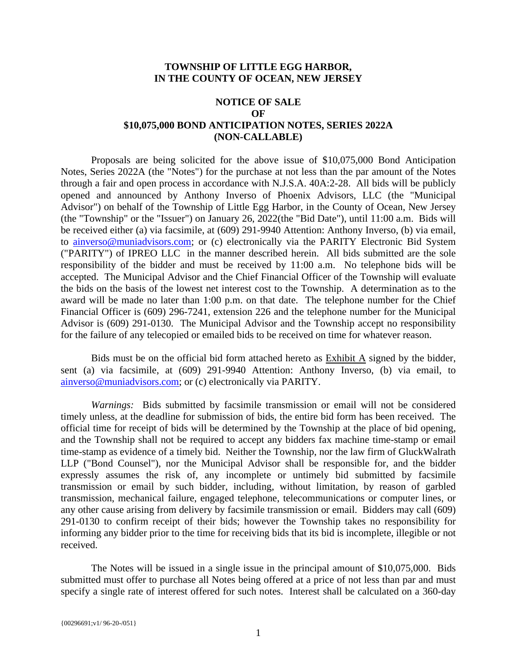#### **TOWNSHIP OF LITTLE EGG HARBOR, IN THE COUNTY OF OCEAN, NEW JERSEY**

## **NOTICE OF SALE OF \$10,075,000 BOND ANTICIPATION NOTES, SERIES 2022A (NON-CALLABLE)**

Proposals are being solicited for the above issue of \$10,075,000 Bond Anticipation Notes, Series 2022A (the "Notes") for the purchase at not less than the par amount of the Notes through a fair and open process in accordance with N.J.S.A. 40A:2-28. All bids will be publicly opened and announced by Anthony Inverso of Phoenix Advisors, LLC (the "Municipal Advisor") on behalf of the Township of Little Egg Harbor, in the County of Ocean, New Jersey (the "Township" or the "Issuer") on January 26, 2022(the "Bid Date"), until 11:00 a.m. Bids will be received either (a) via facsimile, at (609) 291-9940 Attention: Anthony Inverso, (b) via email, to [ainverso@muniadvisors.com;](mailto:ainverso@muniadvisors.com) or (c) electronically via the PARITY Electronic Bid System ("PARITY") of IPREO LLC in the manner described herein. All bids submitted are the sole responsibility of the bidder and must be received by 11:00 a.m. No telephone bids will be accepted. The Municipal Advisor and the Chief Financial Officer of the Township will evaluate the bids on the basis of the lowest net interest cost to the Township. A determination as to the award will be made no later than 1:00 p.m. on that date. The telephone number for the Chief Financial Officer is (609) 296-7241, extension 226 and the telephone number for the Municipal Advisor is (609) 291-0130. The Municipal Advisor and the Township accept no responsibility for the failure of any telecopied or emailed bids to be received on time for whatever reason.

Bids must be on the official bid form attached hereto as Exhibit A signed by the bidder, sent (a) via facsimile, at (609) 291-9940 Attention: Anthony Inverso, (b) via email, to [ainverso@muniadvisors.com;](mailto:ainverso@muniadvisors.com) or (c) electronically via PARITY.

*Warnings:* Bids submitted by facsimile transmission or email will not be considered timely unless, at the deadline for submission of bids, the entire bid form has been received. The official time for receipt of bids will be determined by the Township at the place of bid opening, and the Township shall not be required to accept any bidders fax machine time-stamp or email time-stamp as evidence of a timely bid. Neither the Township, nor the law firm of GluckWalrath LLP ("Bond Counsel"), nor the Municipal Advisor shall be responsible for, and the bidder expressly assumes the risk of, any incomplete or untimely bid submitted by facsimile transmission or email by such bidder, including, without limitation, by reason of garbled transmission, mechanical failure, engaged telephone, telecommunications or computer lines, or any other cause arising from delivery by facsimile transmission or email. Bidders may call (609) 291-0130 to confirm receipt of their bids; however the Township takes no responsibility for informing any bidder prior to the time for receiving bids that its bid is incomplete, illegible or not received.

The Notes will be issued in a single issue in the principal amount of \$10,075,000. Bids submitted must offer to purchase all Notes being offered at a price of not less than par and must specify a single rate of interest offered for such notes. Interest shall be calculated on a 360-day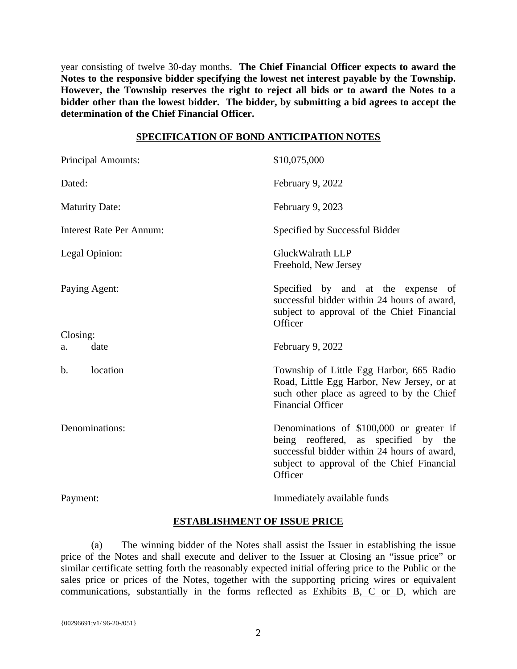year consisting of twelve 30-day months. **The Chief Financial Officer expects to award the Notes to the responsive bidder specifying the lowest net interest payable by the Township. However, the Township reserves the right to reject all bids or to award the Notes to a bidder other than the lowest bidder. The bidder, by submitting a bid agrees to accept the determination of the Chief Financial Officer.**

#### **SPECIFICATION OF BOND ANTICIPATION NOTES**

| <b>Principal Amounts:</b>       | \$10,075,000                                                                                                                                                                             |
|---------------------------------|------------------------------------------------------------------------------------------------------------------------------------------------------------------------------------------|
| Dated:                          | February 9, 2022                                                                                                                                                                         |
| <b>Maturity Date:</b>           | February 9, 2023                                                                                                                                                                         |
| <b>Interest Rate Per Annum:</b> | Specified by Successful Bidder                                                                                                                                                           |
| Legal Opinion:                  | GluckWalrath LLP<br>Freehold, New Jersey                                                                                                                                                 |
| Paying Agent:                   | Specified by and at the expense of<br>successful bidder within 24 hours of award,<br>subject to approval of the Chief Financial<br>Officer                                               |
| Closing:                        |                                                                                                                                                                                          |
| date<br>a.                      | February 9, 2022                                                                                                                                                                         |
| location<br>b.                  | Township of Little Egg Harbor, 665 Radio<br>Road, Little Egg Harbor, New Jersey, or at<br>such other place as agreed to by the Chief<br><b>Financial Officer</b>                         |
| Denominations:                  | Denominations of \$100,000 or greater if<br>being reoffered, as specified by the<br>successful bidder within 24 hours of award,<br>subject to approval of the Chief Financial<br>Officer |
| Payment:                        | Immediately available funds                                                                                                                                                              |

## **ESTABLISHMENT OF ISSUE PRICE**

(a) The winning bidder of the Notes shall assist the Issuer in establishing the issue price of the Notes and shall execute and deliver to the Issuer at Closing an "issue price" or similar certificate setting forth the reasonably expected initial offering price to the Public or the sales price or prices of the Notes, together with the supporting pricing wires or equivalent communications, substantially in the forms reflected as Exhibits B, C or D, which are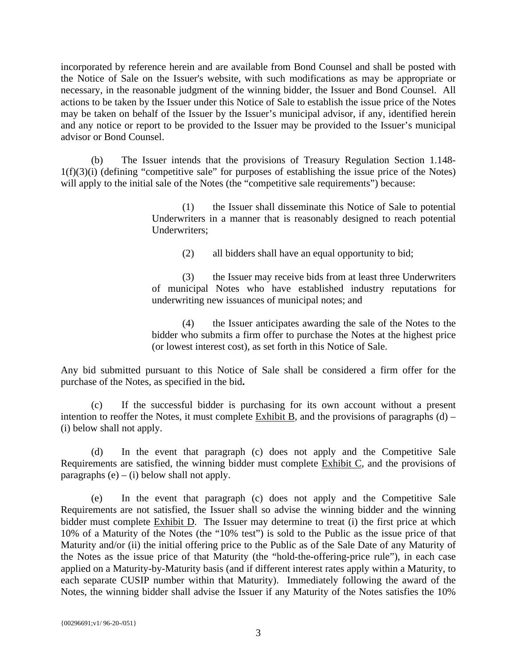incorporated by reference herein and are available from Bond Counsel and shall be posted with the Notice of Sale on the Issuer's website, with such modifications as may be appropriate or necessary, in the reasonable judgment of the winning bidder, the Issuer and Bond Counsel. All actions to be taken by the Issuer under this Notice of Sale to establish the issue price of the Notes may be taken on behalf of the Issuer by the Issuer's municipal advisor, if any, identified herein and any notice or report to be provided to the Issuer may be provided to the Issuer's municipal advisor or Bond Counsel.

(b) The Issuer intends that the provisions of Treasury Regulation Section 1.148-  $1(f)(3)(i)$  (defining "competitive sale" for purposes of establishing the issue price of the Notes) will apply to the initial sale of the Notes (the "competitive sale requirements") because:

> (1) the Issuer shall disseminate this Notice of Sale to potential Underwriters in a manner that is reasonably designed to reach potential Underwriters;

> > (2) all bidders shall have an equal opportunity to bid;

(3) the Issuer may receive bids from at least three Underwriters of municipal Notes who have established industry reputations for underwriting new issuances of municipal notes; and

(4) the Issuer anticipates awarding the sale of the Notes to the bidder who submits a firm offer to purchase the Notes at the highest price (or lowest interest cost), as set forth in this Notice of Sale.

Any bid submitted pursuant to this Notice of Sale shall be considered a firm offer for the purchase of the Notes, as specified in the bid**.**

(c) If the successful bidder is purchasing for its own account without a present intention to reoffer the Notes, it must complete  $\overline{\text{Exhibit B}}$ , and the provisions of paragraphs (d) – (i) below shall not apply.

(d) In the event that paragraph (c) does not apply and the Competitive Sale Requirements are satisfied, the winning bidder must complete Exhibit C, and the provisions of paragraphs  $(e) - (i)$  below shall not apply.

(e) In the event that paragraph (c) does not apply and the Competitive Sale Requirements are not satisfied, the Issuer shall so advise the winning bidder and the winning bidder must complete Exhibit D. The Issuer may determine to treat (i) the first price at which 10% of a Maturity of the Notes (the "10% test") is sold to the Public as the issue price of that Maturity and/or (ii) the initial offering price to the Public as of the Sale Date of any Maturity of the Notes as the issue price of that Maturity (the "hold-the-offering-price rule"), in each case applied on a Maturity-by-Maturity basis (and if different interest rates apply within a Maturity, to each separate CUSIP number within that Maturity). Immediately following the award of the Notes, the winning bidder shall advise the Issuer if any Maturity of the Notes satisfies the 10%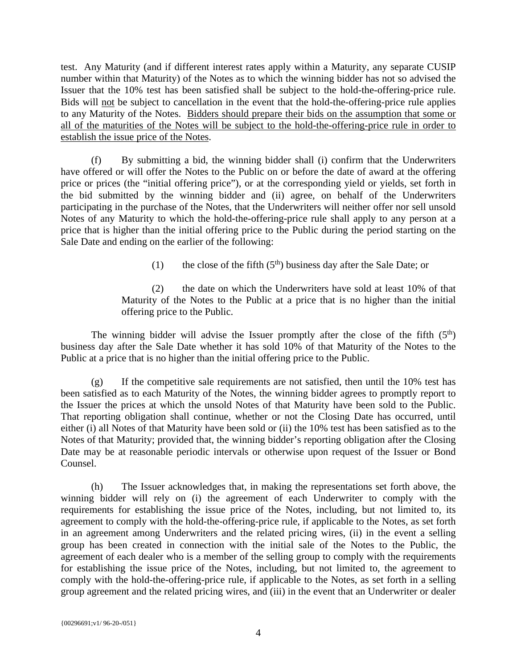test. Any Maturity (and if different interest rates apply within a Maturity, any separate CUSIP number within that Maturity) of the Notes as to which the winning bidder has not so advised the Issuer that the 10% test has been satisfied shall be subject to the hold-the-offering-price rule. Bids will not be subject to cancellation in the event that the hold-the-offering-price rule applies to any Maturity of the Notes. Bidders should prepare their bids on the assumption that some or all of the maturities of the Notes will be subject to the hold-the-offering-price rule in order to establish the issue price of the Notes.

(f) By submitting a bid, the winning bidder shall (i) confirm that the Underwriters have offered or will offer the Notes to the Public on or before the date of award at the offering price or prices (the "initial offering price"), or at the corresponding yield or yields, set forth in the bid submitted by the winning bidder and (ii) agree, on behalf of the Underwriters participating in the purchase of the Notes, that the Underwriters will neither offer nor sell unsold Notes of any Maturity to which the hold-the-offering-price rule shall apply to any person at a price that is higher than the initial offering price to the Public during the period starting on the Sale Date and ending on the earlier of the following:

(1) the close of the fifth  $(5<sup>th</sup>)$  business day after the Sale Date; or

(2) the date on which the Underwriters have sold at least 10% of that Maturity of the Notes to the Public at a price that is no higher than the initial offering price to the Public.

The winning bidder will advise the Issuer promptly after the close of the fifth  $(5<sup>th</sup>)$ business day after the Sale Date whether it has sold 10% of that Maturity of the Notes to the Public at a price that is no higher than the initial offering price to the Public.

 $(g)$  If the competitive sale requirements are not satisfied, then until the 10% test has been satisfied as to each Maturity of the Notes, the winning bidder agrees to promptly report to the Issuer the prices at which the unsold Notes of that Maturity have been sold to the Public. That reporting obligation shall continue, whether or not the Closing Date has occurred, until either (i) all Notes of that Maturity have been sold or (ii) the 10% test has been satisfied as to the Notes of that Maturity; provided that, the winning bidder's reporting obligation after the Closing Date may be at reasonable periodic intervals or otherwise upon request of the Issuer or Bond Counsel.

(h) The Issuer acknowledges that, in making the representations set forth above, the winning bidder will rely on (i) the agreement of each Underwriter to comply with the requirements for establishing the issue price of the Notes, including, but not limited to, its agreement to comply with the hold-the-offering-price rule, if applicable to the Notes, as set forth in an agreement among Underwriters and the related pricing wires, (ii) in the event a selling group has been created in connection with the initial sale of the Notes to the Public, the agreement of each dealer who is a member of the selling group to comply with the requirements for establishing the issue price of the Notes, including, but not limited to, the agreement to comply with the hold-the-offering-price rule, if applicable to the Notes, as set forth in a selling group agreement and the related pricing wires, and (iii) in the event that an Underwriter or dealer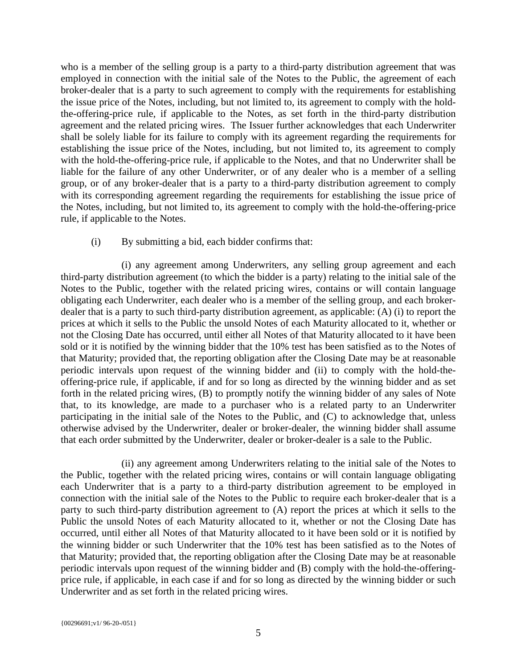who is a member of the selling group is a party to a third-party distribution agreement that was employed in connection with the initial sale of the Notes to the Public, the agreement of each broker-dealer that is a party to such agreement to comply with the requirements for establishing the issue price of the Notes, including, but not limited to, its agreement to comply with the holdthe-offering-price rule, if applicable to the Notes, as set forth in the third-party distribution agreement and the related pricing wires. The Issuer further acknowledges that each Underwriter shall be solely liable for its failure to comply with its agreement regarding the requirements for establishing the issue price of the Notes, including, but not limited to, its agreement to comply with the hold-the-offering-price rule, if applicable to the Notes, and that no Underwriter shall be liable for the failure of any other Underwriter, or of any dealer who is a member of a selling group, or of any broker-dealer that is a party to a third-party distribution agreement to comply with its corresponding agreement regarding the requirements for establishing the issue price of the Notes, including, but not limited to, its agreement to comply with the hold-the-offering-price rule, if applicable to the Notes.

## (i) By submitting a bid, each bidder confirms that:

(i) any agreement among Underwriters, any selling group agreement and each third-party distribution agreement (to which the bidder is a party) relating to the initial sale of the Notes to the Public, together with the related pricing wires, contains or will contain language obligating each Underwriter, each dealer who is a member of the selling group, and each brokerdealer that is a party to such third-party distribution agreement, as applicable: (A) (i) to report the prices at which it sells to the Public the unsold Notes of each Maturity allocated to it, whether or not the Closing Date has occurred, until either all Notes of that Maturity allocated to it have been sold or it is notified by the winning bidder that the 10% test has been satisfied as to the Notes of that Maturity; provided that, the reporting obligation after the Closing Date may be at reasonable periodic intervals upon request of the winning bidder and (ii) to comply with the hold-theoffering-price rule, if applicable, if and for so long as directed by the winning bidder and as set forth in the related pricing wires, (B) to promptly notify the winning bidder of any sales of Note that, to its knowledge, are made to a purchaser who is a related party to an Underwriter participating in the initial sale of the Notes to the Public, and (C) to acknowledge that, unless otherwise advised by the Underwriter, dealer or broker-dealer, the winning bidder shall assume that each order submitted by the Underwriter, dealer or broker-dealer is a sale to the Public.

(ii) any agreement among Underwriters relating to the initial sale of the Notes to the Public, together with the related pricing wires, contains or will contain language obligating each Underwriter that is a party to a third-party distribution agreement to be employed in connection with the initial sale of the Notes to the Public to require each broker-dealer that is a party to such third-party distribution agreement to (A) report the prices at which it sells to the Public the unsold Notes of each Maturity allocated to it, whether or not the Closing Date has occurred, until either all Notes of that Maturity allocated to it have been sold or it is notified by the winning bidder or such Underwriter that the 10% test has been satisfied as to the Notes of that Maturity; provided that, the reporting obligation after the Closing Date may be at reasonable periodic intervals upon request of the winning bidder and (B) comply with the hold-the-offeringprice rule, if applicable, in each case if and for so long as directed by the winning bidder or such Underwriter and as set forth in the related pricing wires.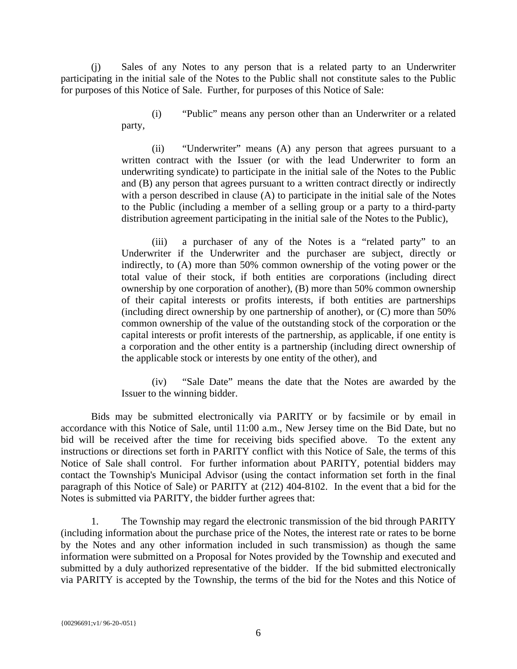(j) Sales of any Notes to any person that is a related party to an Underwriter participating in the initial sale of the Notes to the Public shall not constitute sales to the Public for purposes of this Notice of Sale. Further, for purposes of this Notice of Sale:

> (i) "Public" means any person other than an Underwriter or a related party,

> (ii) "Underwriter" means (A) any person that agrees pursuant to a written contract with the Issuer (or with the lead Underwriter to form an underwriting syndicate) to participate in the initial sale of the Notes to the Public and (B) any person that agrees pursuant to a written contract directly or indirectly with a person described in clause (A) to participate in the initial sale of the Notes to the Public (including a member of a selling group or a party to a third-party distribution agreement participating in the initial sale of the Notes to the Public),

> (iii) a purchaser of any of the Notes is a "related party" to an Underwriter if the Underwriter and the purchaser are subject, directly or indirectly, to (A) more than 50% common ownership of the voting power or the total value of their stock, if both entities are corporations (including direct ownership by one corporation of another), (B) more than 50% common ownership of their capital interests or profits interests, if both entities are partnerships (including direct ownership by one partnership of another), or (C) more than 50% common ownership of the value of the outstanding stock of the corporation or the capital interests or profit interests of the partnership, as applicable, if one entity is a corporation and the other entity is a partnership (including direct ownership of the applicable stock or interests by one entity of the other), and

> (iv) "Sale Date" means the date that the Notes are awarded by the Issuer to the winning bidder.

Bids may be submitted electronically via PARITY or by facsimile or by email in accordance with this Notice of Sale, until 11:00 a.m., New Jersey time on the Bid Date, but no bid will be received after the time for receiving bids specified above. To the extent any instructions or directions set forth in PARITY conflict with this Notice of Sale, the terms of this Notice of Sale shall control. For further information about PARITY, potential bidders may contact the Township's Municipal Advisor (using the contact information set forth in the final paragraph of this Notice of Sale) or PARITY at (212) 404-8102. In the event that a bid for the Notes is submitted via PARITY, the bidder further agrees that:

1. The Township may regard the electronic transmission of the bid through PARITY (including information about the purchase price of the Notes, the interest rate or rates to be borne by the Notes and any other information included in such transmission) as though the same information were submitted on a Proposal for Notes provided by the Township and executed and submitted by a duly authorized representative of the bidder. If the bid submitted electronically via PARITY is accepted by the Township, the terms of the bid for the Notes and this Notice of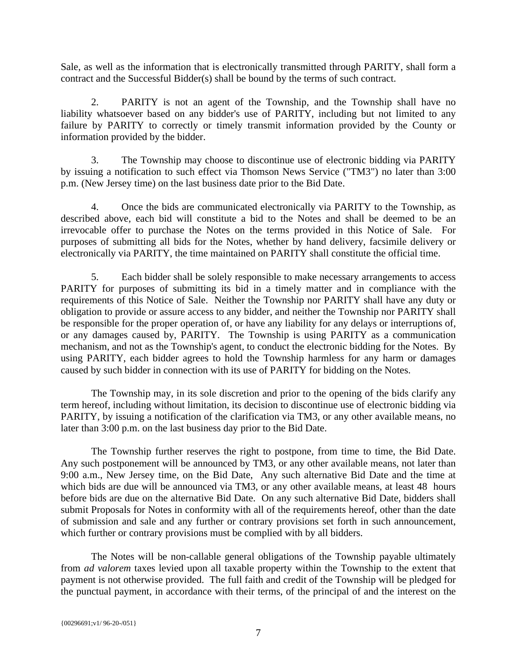Sale, as well as the information that is electronically transmitted through PARITY, shall form a contract and the Successful Bidder(s) shall be bound by the terms of such contract.

2. PARITY is not an agent of the Township, and the Township shall have no liability whatsoever based on any bidder's use of PARITY, including but not limited to any failure by PARITY to correctly or timely transmit information provided by the County or information provided by the bidder.

3. The Township may choose to discontinue use of electronic bidding via PARITY by issuing a notification to such effect via Thomson News Service ("TM3") no later than 3:00 p.m. (New Jersey time) on the last business date prior to the Bid Date.

4. Once the bids are communicated electronically via PARITY to the Township, as described above, each bid will constitute a bid to the Notes and shall be deemed to be an irrevocable offer to purchase the Notes on the terms provided in this Notice of Sale. For purposes of submitting all bids for the Notes, whether by hand delivery, facsimile delivery or electronically via PARITY, the time maintained on PARITY shall constitute the official time.

5. Each bidder shall be solely responsible to make necessary arrangements to access PARITY for purposes of submitting its bid in a timely matter and in compliance with the requirements of this Notice of Sale. Neither the Township nor PARITY shall have any duty or obligation to provide or assure access to any bidder, and neither the Township nor PARITY shall be responsible for the proper operation of, or have any liability for any delays or interruptions of, or any damages caused by, PARITY. The Township is using PARITY as a communication mechanism, and not as the Township's agent, to conduct the electronic bidding for the Notes. By using PARITY, each bidder agrees to hold the Township harmless for any harm or damages caused by such bidder in connection with its use of PARITY for bidding on the Notes.

The Township may, in its sole discretion and prior to the opening of the bids clarify any term hereof, including without limitation, its decision to discontinue use of electronic bidding via PARITY, by issuing a notification of the clarification via TM3, or any other available means, no later than 3:00 p.m. on the last business day prior to the Bid Date.

The Township further reserves the right to postpone, from time to time, the Bid Date. Any such postponement will be announced by TM3, or any other available means, not later than 9:00 a.m., New Jersey time, on the Bid Date, Any such alternative Bid Date and the time at which bids are due will be announced via TM3, or any other available means, at least 48 hours before bids are due on the alternative Bid Date. On any such alternative Bid Date, bidders shall submit Proposals for Notes in conformity with all of the requirements hereof, other than the date of submission and sale and any further or contrary provisions set forth in such announcement, which further or contrary provisions must be complied with by all bidders.

The Notes will be non-callable general obligations of the Township payable ultimately from *ad valorem* taxes levied upon all taxable property within the Township to the extent that payment is not otherwise provided. The full faith and credit of the Township will be pledged for the punctual payment, in accordance with their terms, of the principal of and the interest on the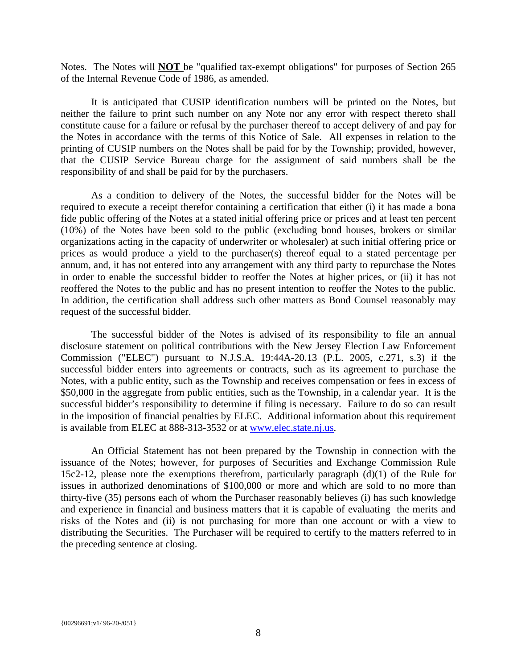Notes. The Notes will **NOT** be "qualified tax-exempt obligations" for purposes of Section 265 of the Internal Revenue Code of 1986, as amended.

It is anticipated that CUSIP identification numbers will be printed on the Notes, but neither the failure to print such number on any Note nor any error with respect thereto shall constitute cause for a failure or refusal by the purchaser thereof to accept delivery of and pay for the Notes in accordance with the terms of this Notice of Sale. All expenses in relation to the printing of CUSIP numbers on the Notes shall be paid for by the Township; provided, however, that the CUSIP Service Bureau charge for the assignment of said numbers shall be the responsibility of and shall be paid for by the purchasers.

As a condition to delivery of the Notes, the successful bidder for the Notes will be required to execute a receipt therefor containing a certification that either (i) it has made a bona fide public offering of the Notes at a stated initial offering price or prices and at least ten percent (10%) of the Notes have been sold to the public (excluding bond houses, brokers or similar organizations acting in the capacity of underwriter or wholesaler) at such initial offering price or prices as would produce a yield to the purchaser(s) thereof equal to a stated percentage per annum, and, it has not entered into any arrangement with any third party to repurchase the Notes in order to enable the successful bidder to reoffer the Notes at higher prices, or (ii) it has not reoffered the Notes to the public and has no present intention to reoffer the Notes to the public. In addition, the certification shall address such other matters as Bond Counsel reasonably may request of the successful bidder.

The successful bidder of the Notes is advised of its responsibility to file an annual disclosure statement on political contributions with the New Jersey Election Law Enforcement Commission ("ELEC") pursuant to N.J.S.A. 19:44A-20.13 (P.L. 2005, c.271, s.3) if the successful bidder enters into agreements or contracts, such as its agreement to purchase the Notes, with a public entity, such as the Township and receives compensation or fees in excess of \$50,000 in the aggregate from public entities, such as the Township, in a calendar year. It is the successful bidder's responsibility to determine if filing is necessary. Failure to do so can result in the imposition of financial penalties by ELEC. Additional information about this requirement is available from ELEC at 888-313-3532 or at [www.elec.state.nj.us.](http://www.elec.state.nj.us/)

An Official Statement has not been prepared by the Township in connection with the issuance of the Notes; however, for purposes of Securities and Exchange Commission Rule 15c2-12, please note the exemptions therefrom, particularly paragraph (d)(1) of the Rule for issues in authorized denominations of \$100,000 or more and which are sold to no more than thirty-five (35) persons each of whom the Purchaser reasonably believes (i) has such knowledge and experience in financial and business matters that it is capable of evaluating the merits and risks of the Notes and (ii) is not purchasing for more than one account or with a view to distributing the Securities. The Purchaser will be required to certify to the matters referred to in the preceding sentence at closing.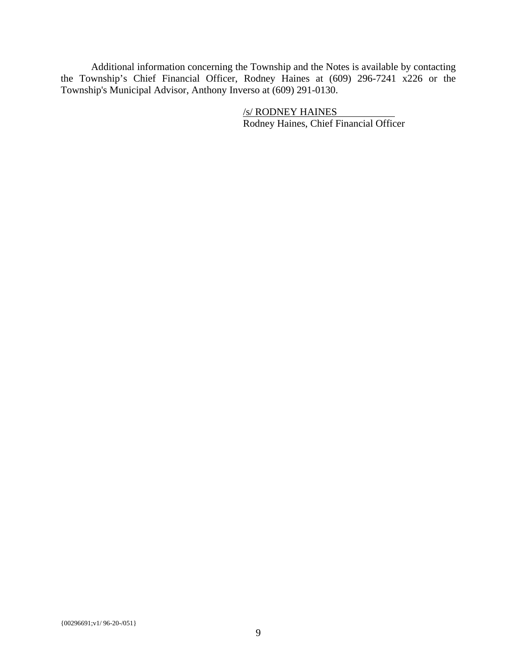Additional information concerning the Township and the Notes is available by contacting the Township's Chief Financial Officer, Rodney Haines at (609) 296-7241 x226 or the Township's Municipal Advisor, Anthony Inverso at (609) 291-0130.

> /s/ RODNEY HAINES Rodney Haines, Chief Financial Officer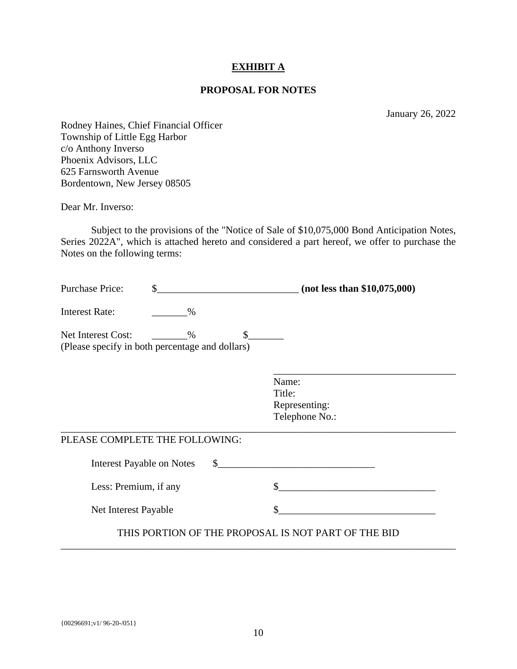### **EXHIBIT A**

#### **PROPOSAL FOR NOTES**

January 26, 2022

Rodney Haines, Chief Financial Officer Township of Little Egg Harbor c/o Anthony Inverso Phoenix Advisors, LLC 625 Farnsworth Avenue Bordentown, New Jersey 08505

Dear Mr. Inverso:

Subject to the provisions of the "Notice of Sale of \$10,075,000 Bond Anticipation Notes, Series 2022A", which is attached hereto and considered a part hereof, we offer to purchase the Notes on the following terms:

| <b>Purchase Price:</b>                                                | $(not$ less than \$10,075,000) |               |                                                     |
|-----------------------------------------------------------------------|--------------------------------|---------------|-----------------------------------------------------|
| <b>Interest Rate:</b>                                                 | $\%$                           |               |                                                     |
| Net Interest Cost:<br>(Please specify in both percentage and dollars) | $\%$                           | $\mathcal{S}$ |                                                     |
|                                                                       |                                |               | Name:<br>Title:<br>Representing:<br>Telephone No.:  |
| PLEASE COMPLETE THE FOLLOWING:                                        |                                |               |                                                     |
| Interest Payable on Notes                                             |                                | $\mathbb{S}$  |                                                     |
| Less: Premium, if any                                                 |                                |               |                                                     |
| Net Interest Payable                                                  |                                |               |                                                     |
|                                                                       |                                |               | THIS PORTION OF THE PROPOSAL IS NOT PART OF THE BID |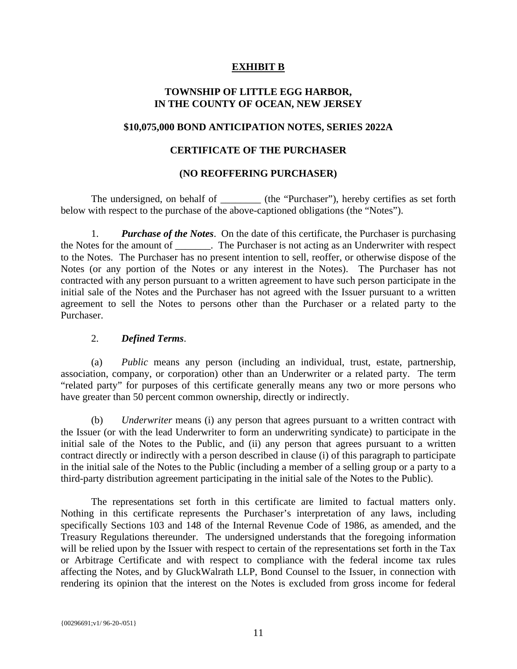## **EXHIBIT B**

## **TOWNSHIP OF LITTLE EGG HARBOR, IN THE COUNTY OF OCEAN, NEW JERSEY**

### **\$10,075,000 BOND ANTICIPATION NOTES, SERIES 2022A**

## **CERTIFICATE OF THE PURCHASER**

#### **(NO REOFFERING PURCHASER)**

The undersigned, on behalf of \_\_\_\_\_\_\_\_\_\_ (the "Purchaser"), hereby certifies as set forth below with respect to the purchase of the above-captioned obligations (the "Notes").

1. *Purchase of the Notes*. On the date of this certificate, the Purchaser is purchasing the Notes for the amount of \_\_\_\_\_\_\_. The Purchaser is not acting as an Underwriter with respect to the Notes. The Purchaser has no present intention to sell, reoffer, or otherwise dispose of the Notes (or any portion of the Notes or any interest in the Notes). The Purchaser has not contracted with any person pursuant to a written agreement to have such person participate in the initial sale of the Notes and the Purchaser has not agreed with the Issuer pursuant to a written agreement to sell the Notes to persons other than the Purchaser or a related party to the Purchaser.

#### 2. *Defined Terms*.

(a) *Public* means any person (including an individual, trust, estate, partnership, association, company, or corporation) other than an Underwriter or a related party. The term "related party" for purposes of this certificate generally means any two or more persons who have greater than 50 percent common ownership, directly or indirectly.

(b) *Underwriter* means (i) any person that agrees pursuant to a written contract with the Issuer (or with the lead Underwriter to form an underwriting syndicate) to participate in the initial sale of the Notes to the Public, and (ii) any person that agrees pursuant to a written contract directly or indirectly with a person described in clause (i) of this paragraph to participate in the initial sale of the Notes to the Public (including a member of a selling group or a party to a third-party distribution agreement participating in the initial sale of the Notes to the Public).

The representations set forth in this certificate are limited to factual matters only. Nothing in this certificate represents the Purchaser's interpretation of any laws, including specifically Sections 103 and 148 of the Internal Revenue Code of 1986, as amended, and the Treasury Regulations thereunder. The undersigned understands that the foregoing information will be relied upon by the Issuer with respect to certain of the representations set forth in the Tax or Arbitrage Certificate and with respect to compliance with the federal income tax rules affecting the Notes, and by GluckWalrath LLP, Bond Counsel to the Issuer, in connection with rendering its opinion that the interest on the Notes is excluded from gross income for federal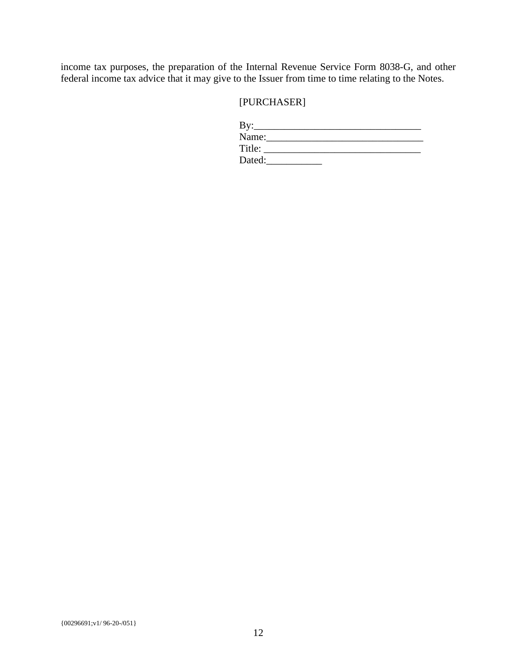income tax purposes, the preparation of the Internal Revenue Service Form 8038-G, and other federal income tax advice that it may give to the Issuer from time to time relating to the Notes.

## [PURCHASER]

| $\rm\,By:$ |  |
|------------|--|
| Name:      |  |
| Title:     |  |
| Dated:     |  |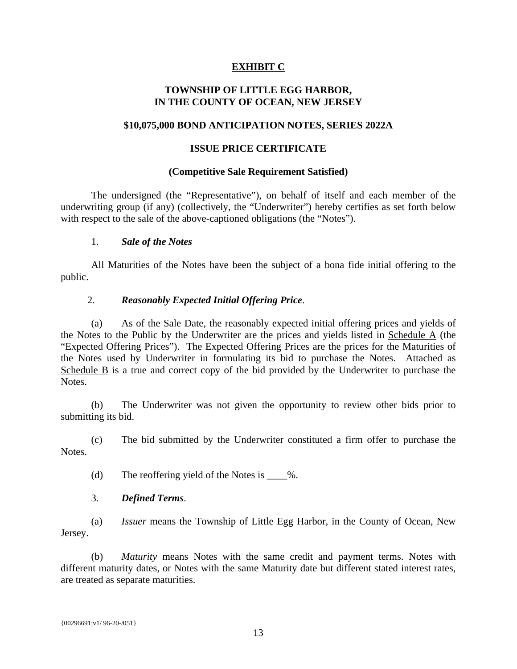## **EXHIBIT C**

## **TOWNSHIP OF LITTLE EGG HARBOR, IN THE COUNTY OF OCEAN, NEW JERSEY**

### **\$10,075,000 BOND ANTICIPATION NOTES, SERIES 2022A**

### **ISSUE PRICE CERTIFICATE**

#### **(Competitive Sale Requirement Satisfied)**

The undersigned (the "Representative"), on behalf of itself and each member of the underwriting group (if any) (collectively, the "Underwriter") hereby certifies as set forth below with respect to the sale of the above-captioned obligations (the "Notes").

#### 1. *Sale of the Notes*

All Maturities of the Notes have been the subject of a bona fide initial offering to the public.

#### 2. *Reasonably Expected Initial Offering Price*.

(a) As of the Sale Date, the reasonably expected initial offering prices and yields of the Notes to the Public by the Underwriter are the prices and yields listed in Schedule A (the "Expected Offering Prices"). The Expected Offering Prices are the prices for the Maturities of the Notes used by Underwriter in formulating its bid to purchase the Notes. Attached as Schedule B is a true and correct copy of the bid provided by the Underwriter to purchase the Notes.

(b) The Underwriter was not given the opportunity to review other bids prior to submitting its bid.

(c) The bid submitted by the Underwriter constituted a firm offer to purchase the Notes.

(d) The reoffering yield of the Notes is  $\%$ .

## 3. *Defined Terms*.

(a) *Issuer* means the Township of Little Egg Harbor, in the County of Ocean, New Jersey.

(b) *Maturity* means Notes with the same credit and payment terms. Notes with different maturity dates, or Notes with the same Maturity date but different stated interest rates, are treated as separate maturities.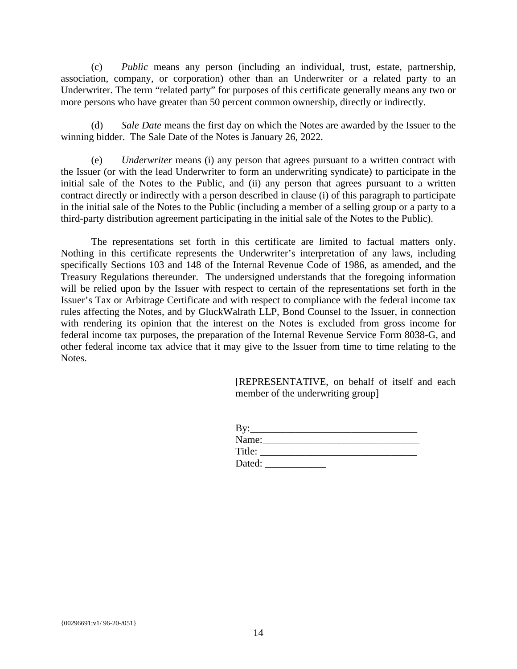(c) *Public* means any person (including an individual, trust, estate, partnership, association, company, or corporation) other than an Underwriter or a related party to an Underwriter. The term "related party" for purposes of this certificate generally means any two or more persons who have greater than 50 percent common ownership, directly or indirectly.

(d) *Sale Date* means the first day on which the Notes are awarded by the Issuer to the winning bidder. The Sale Date of the Notes is January 26, 2022.

(e) *Underwriter* means (i) any person that agrees pursuant to a written contract with the Issuer (or with the lead Underwriter to form an underwriting syndicate) to participate in the initial sale of the Notes to the Public, and (ii) any person that agrees pursuant to a written contract directly or indirectly with a person described in clause (i) of this paragraph to participate in the initial sale of the Notes to the Public (including a member of a selling group or a party to a third-party distribution agreement participating in the initial sale of the Notes to the Public).

The representations set forth in this certificate are limited to factual matters only. Nothing in this certificate represents the Underwriter's interpretation of any laws, including specifically Sections 103 and 148 of the Internal Revenue Code of 1986, as amended, and the Treasury Regulations thereunder. The undersigned understands that the foregoing information will be relied upon by the Issuer with respect to certain of the representations set forth in the Issuer's Tax or Arbitrage Certificate and with respect to compliance with the federal income tax rules affecting the Notes, and by GluckWalrath LLP, Bond Counsel to the Issuer, in connection with rendering its opinion that the interest on the Notes is excluded from gross income for federal income tax purposes, the preparation of the Internal Revenue Service Form 8038-G, and other federal income tax advice that it may give to the Issuer from time to time relating to the Notes.

> [REPRESENTATIVE, on behalf of itself and each member of the underwriting group]

| By:    |  |  |
|--------|--|--|
| Name:  |  |  |
| Title: |  |  |
| Dated: |  |  |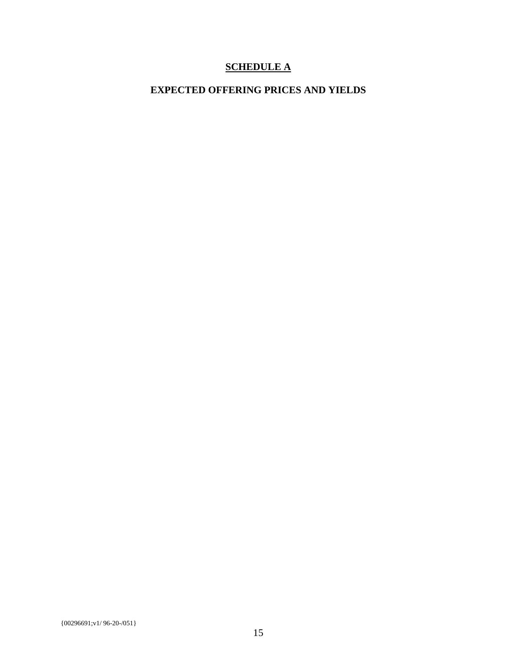## **SCHEDULE A**

# **EXPECTED OFFERING PRICES AND YIELDS**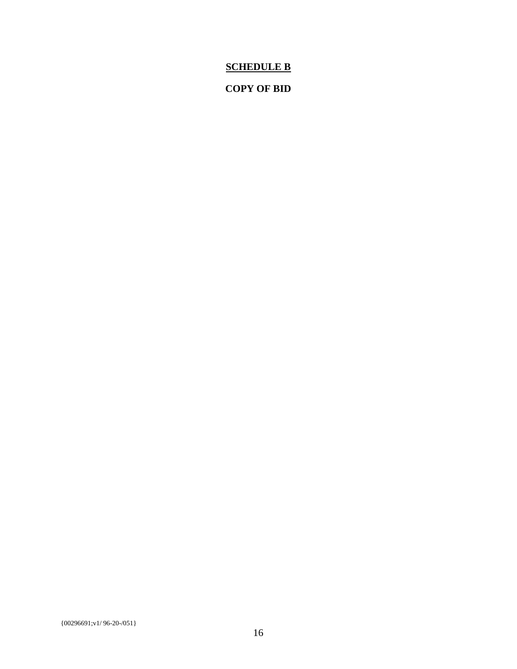## **SCHEDULE B**

## **COPY OF BID**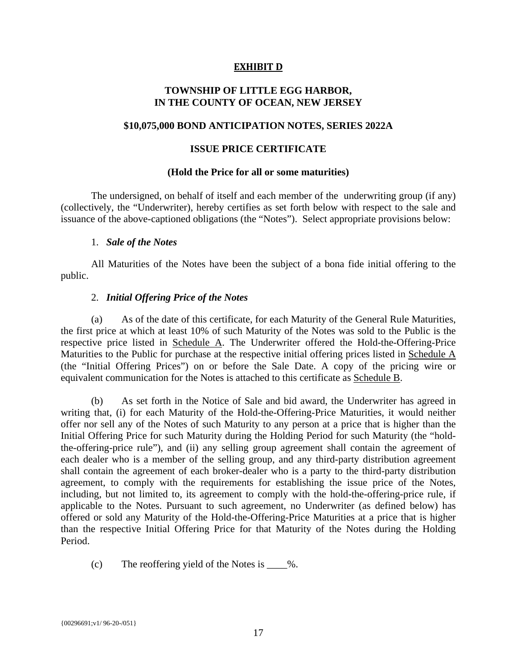## **EXHIBIT D**

## **TOWNSHIP OF LITTLE EGG HARBOR, IN THE COUNTY OF OCEAN, NEW JERSEY**

#### **\$10,075,000 BOND ANTICIPATION NOTES, SERIES 2022A**

### **ISSUE PRICE CERTIFICATE**

#### **(Hold the Price for all or some maturities)**

The undersigned, on behalf of itself and each member of the underwriting group (if any) (collectively, the "Underwriter), hereby certifies as set forth below with respect to the sale and issuance of the above-captioned obligations (the "Notes"). Select appropriate provisions below:

#### 1. *Sale of the Notes*

All Maturities of the Notes have been the subject of a bona fide initial offering to the public.

#### 2. *Initial Offering Price of the Notes*

(a) As of the date of this certificate, for each Maturity of the General Rule Maturities, the first price at which at least 10% of such Maturity of the Notes was sold to the Public is the respective price listed in Schedule A. The Underwriter offered the Hold-the-Offering-Price Maturities to the Public for purchase at the respective initial offering prices listed in Schedule A (the "Initial Offering Prices") on or before the Sale Date. A copy of the pricing wire or equivalent communication for the Notes is attached to this certificate as Schedule B.

(b) As set forth in the Notice of Sale and bid award, the Underwriter has agreed in writing that, (i) for each Maturity of the Hold-the-Offering-Price Maturities, it would neither offer nor sell any of the Notes of such Maturity to any person at a price that is higher than the Initial Offering Price for such Maturity during the Holding Period for such Maturity (the "holdthe-offering-price rule"), and (ii) any selling group agreement shall contain the agreement of each dealer who is a member of the selling group, and any third-party distribution agreement shall contain the agreement of each broker-dealer who is a party to the third-party distribution agreement, to comply with the requirements for establishing the issue price of the Notes, including, but not limited to, its agreement to comply with the hold-the-offering-price rule, if applicable to the Notes. Pursuant to such agreement, no Underwriter (as defined below) has offered or sold any Maturity of the Hold-the-Offering-Price Maturities at a price that is higher than the respective Initial Offering Price for that Maturity of the Notes during the Holding Period.

(c) The reoffering yield of the Notes is \_\_\_\_%.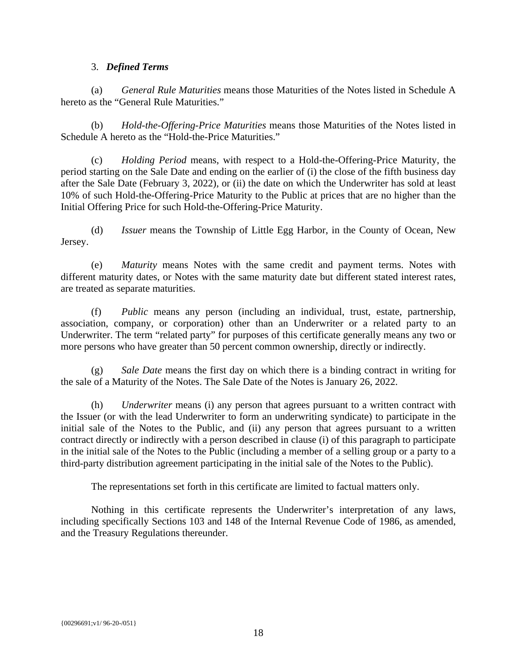#### 3. *Defined Terms*

(a) *General Rule Maturities* means those Maturities of the Notes listed in Schedule A hereto as the "General Rule Maturities."

(b) *Hold-the-Offering-Price Maturities* means those Maturities of the Notes listed in Schedule A hereto as the "Hold-the-Price Maturities."

(c) *Holding Period* means, with respect to a Hold-the-Offering-Price Maturity, the period starting on the Sale Date and ending on the earlier of (i) the close of the fifth business day after the Sale Date (February 3, 2022), or (ii) the date on which the Underwriter has sold at least 10% of such Hold-the-Offering-Price Maturity to the Public at prices that are no higher than the Initial Offering Price for such Hold-the-Offering-Price Maturity.

(d) *Issuer* means the Township of Little Egg Harbor, in the County of Ocean, New Jersey.

(e) *Maturity* means Notes with the same credit and payment terms. Notes with different maturity dates, or Notes with the same maturity date but different stated interest rates, are treated as separate maturities.

(f) *Public* means any person (including an individual, trust, estate, partnership, association, company, or corporation) other than an Underwriter or a related party to an Underwriter. The term "related party" for purposes of this certificate generally means any two or more persons who have greater than 50 percent common ownership, directly or indirectly.

(g) *Sale Date* means the first day on which there is a binding contract in writing for the sale of a Maturity of the Notes. The Sale Date of the Notes is January 26, 2022.

(h) *Underwriter* means (i) any person that agrees pursuant to a written contract with the Issuer (or with the lead Underwriter to form an underwriting syndicate) to participate in the initial sale of the Notes to the Public, and (ii) any person that agrees pursuant to a written contract directly or indirectly with a person described in clause (i) of this paragraph to participate in the initial sale of the Notes to the Public (including a member of a selling group or a party to a third-party distribution agreement participating in the initial sale of the Notes to the Public).

The representations set forth in this certificate are limited to factual matters only.

Nothing in this certificate represents the Underwriter's interpretation of any laws, including specifically Sections 103 and 148 of the Internal Revenue Code of 1986, as amended, and the Treasury Regulations thereunder.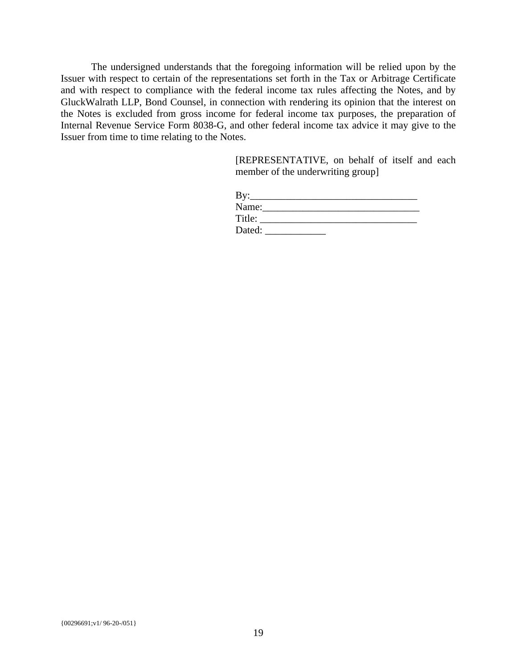The undersigned understands that the foregoing information will be relied upon by the Issuer with respect to certain of the representations set forth in the Tax or Arbitrage Certificate and with respect to compliance with the federal income tax rules affecting the Notes, and by GluckWalrath LLP, Bond Counsel, in connection with rendering its opinion that the interest on the Notes is excluded from gross income for federal income tax purposes, the preparation of Internal Revenue Service Form 8038-G, and other federal income tax advice it may give to the Issuer from time to time relating to the Notes.

> [REPRESENTATIVE, on behalf of itself and each member of the underwriting group]

| By:    |  |  |
|--------|--|--|
| Name:  |  |  |
| Title: |  |  |
| Dated: |  |  |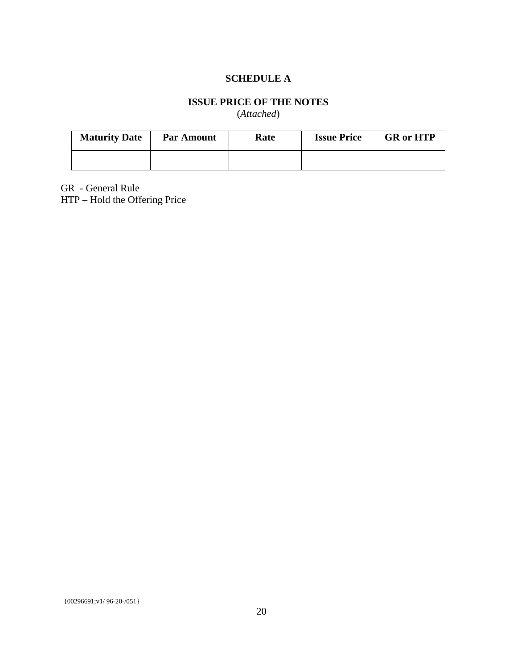## **SCHEDULE A**

## **ISSUE PRICE OF THE NOTES**

(*Attached*)

| <b>Maturity Date</b> | <b>Par Amount</b> | Rate | <b>Issue Price</b> | <b>GR</b> or HTP |
|----------------------|-------------------|------|--------------------|------------------|
|                      |                   |      |                    |                  |

GR - General Rule

HTP – Hold the Offering Price